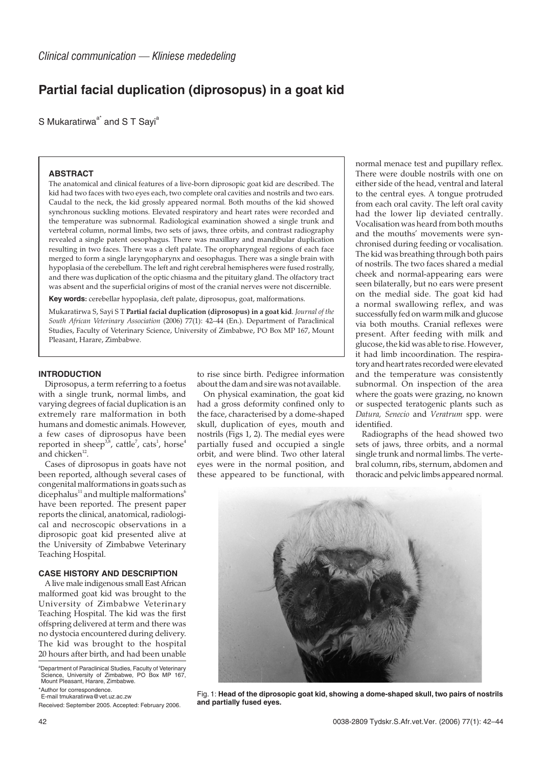# **Partial facial duplication (diprosopus) in a goat kid**

S Mukaratirwa<sup>a\*</sup> and S T Sayi<sup>a</sup>

## **ABSTRACT**

The anatomical and clinical features of a live-born diprosopic goat kid are described. The kid had two faces with two eyes each, two complete oral cavities and nostrils and two ears. Caudal to the neck, the kid grossly appeared normal. Both mouths of the kid showed synchronous suckling motions. Elevated respiratory and heart rates were recorded and the temperature was subnormal. Radiological examination showed a single trunk and vertebral column, normal limbs, two sets of jaws, three orbits, and contrast radiography revealed a single patent oesophagus. There was maxillary and mandibular duplication resulting in two faces. There was a cleft palate. The oropharyngeal regions of each face merged to form a single laryngopharynx and oesophagus. There was a single brain with hypoplasia of the cerebellum. The left and right cerebral hemispheres were fused rostrally, and there was duplication of the optic chiasma and the pituitary gland. The olfactory tract was absent and the superficial origins of most of the cranial nerves were not discernible.

**Key words:** cerebellar hypoplasia, cleft palate, diprosopus, goat, malformations.

Mukaratirwa S, Sayi S T **Partial facial duplication (diprosopus) in a goat kid**. *Journal of the South African Veterinary Association* (2006) 77(1): 42–44 (En.). Department of Paraclinical Studies, Faculty of Veterinary Science, University of Zimbabwe, PO Box MP 167, Mount Pleasant, Harare, Zimbabwe.

# **INTRODUCTION**

Diprosopus, a term referring to a foetus with a single trunk, normal limbs, and varying degrees of facial duplication is an extremely rare malformation in both humans and domestic animals. However, a few cases of diprosopus have been reported in sheep<sup>3,8</sup>, cattle<sup>7</sup>, cats<sup>1</sup>, horse<sup>4</sup> and chicken $12$ .

Cases of diprosopus in goats have not been reported, although several cases of congenital malformations in goats such as dicephalus<sup>11</sup> and multiple malformations<sup>6</sup> have been reported. The present paper reports the clinical, anatomical, radiological and necroscopic observations in a diprosopic goat kid presented alive at the University of Zimbabwe Veterinary Teaching Hospital.

# **CASE HISTORY AND DESCRIPTION**

A live male indigenous small East African malformed goat kid was brought to the University of Zimbabwe Veterinary Teaching Hospital. The kid was the first offspring delivered at term and there was no dystocia encountered during delivery. The kid was brought to the hospital 20 hours after birth, and had been unable

a Department of Paraclinical Studies, Faculty of Veterinary Science, University of Zimbabwe, PO Box MP 167, Mount Pleasant, Harare, Zimbabwe.

\*Author for correspondence. E-mail tmukaratirwa@vet.uz.ac.zw

Received: September 2005. Accepted: February 2006.

to rise since birth. Pedigree information about the dam and sire was not available.

On physical examination, the goat kid had a gross deformity confined only to the face, characterised by a dome-shaped skull, duplication of eyes, mouth and nostrils (Figs 1, 2). The medial eyes were partially fused and occupied a single orbit, and were blind. Two other lateral eyes were in the normal position, and these appeared to be functional, with

normal menace test and pupillary reflex. There were double nostrils with one on either side of the head, ventral and lateral to the central eyes. A tongue protruded from each oral cavity. The left oral cavity had the lower lip deviated centrally. Vocalisation was heard from both mouths and the mouths' movements were synchronised during feeding or vocalisation. The kid was breathing through both pairs of nostrils. The two faces shared a medial cheek and normal-appearing ears were seen bilaterally, but no ears were present on the medial side. The goat kid had a normal swallowing reflex, and was successfully fed on warm milk and glucose via both mouths. Cranial reflexes were present. After feeding with milk and glucose, the kid was able to rise. However, it had limb incoordination. The respiratory and heart rates recorded were elevated and the temperature was consistently subnormal. On inspection of the area where the goats were grazing, no known or suspected teratogenic plants such as *Datura, Senecio* and *Veratrum* spp. were identified.

Radiographs of the head showed two sets of jaws, three orbits, and a normal single trunk and normal limbs. The vertebral column, ribs, sternum, abdomen and thoracic and pelvic limbs appeared normal.



**and partially fused eyes.**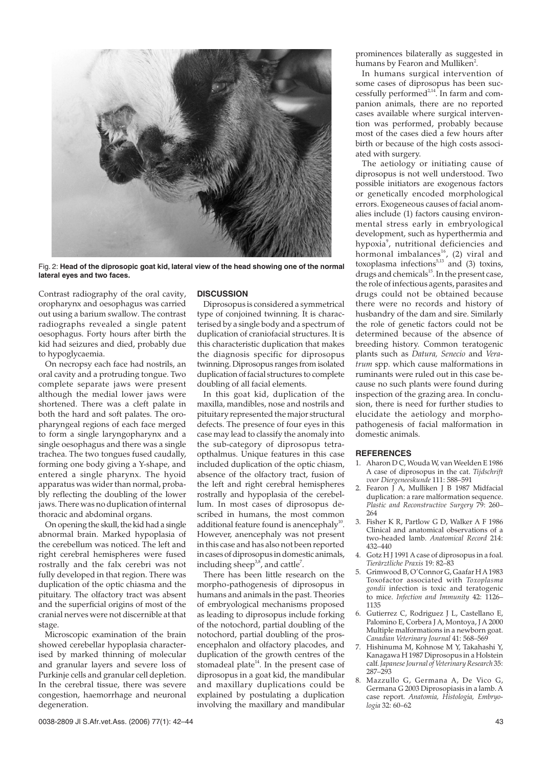

Fig. 2: **Head of the diprosopic goat kid, lateral view of the head showing one of the normal lateral eyes and two faces.**

Contrast radiography of the oral cavity, oropharynx and oesophagus was carried out using a barium swallow. The contrast radiographs revealed a single patent oesophagus. Forty hours after birth the kid had seizures and died, probably due to hypoglycaemia.

On necropsy each face had nostrils, an oral cavity and a protruding tongue. Two complete separate jaws were present although the medial lower jaws were shortened. There was a cleft palate in both the hard and soft palates. The oropharyngeal regions of each face merged to form a single laryngopharynx and a single oesophagus and there was a single trachea. The two tongues fused caudally, forming one body giving a Y-shape, and entered a single pharynx. The hyoid apparatus was wider than normal, probably reflecting the doubling of the lower jaws. There was no duplication of internal thoracic and abdominal organs.

On opening the skull, the kid had a single abnormal brain. Marked hypoplasia of the cerebellum was noticed. The left and right cerebral hemispheres were fused rostrally and the falx cerebri was not fully developed in that region. There was duplication of the optic chiasma and the pituitary. The olfactory tract was absent and the superficial origins of most of the cranial nerves were not discernible at that stage.

Microscopic examination of the brain showed cerebellar hypoplasia characterised by marked thinning of molecular and granular layers and severe loss of Purkinje cells and granular cell depletion. In the cerebral tissue, there was severe congestion, haemorrhage and neuronal degeneration.

#### **DISCUSSION**

Diprosopus is considered a symmetrical type of conjoined twinning. It is characterised by a single body and a spectrum of duplication of craniofacial structures. It is this characteristic duplication that makes the diagnosis specific for diprosopus twinning. Diprosopus ranges from isolated duplication of facial structures to complete doubling of all facial elements.

In this goat kid, duplication of the maxilla, mandibles, nose and nostrils and pituitary represented the major structural defects. The presence of four eyes in this case may lead to classify the anomaly into the sub-category of diprosopus tetraopthalmus. Unique features in this case included duplication of the optic chiasm, absence of the olfactory tract, fusion of the left and right cerebral hemispheres rostrally and hypoplasia of the cerebellum. In most cases of diprosopus described in humans, the most common additional feature found is anencephal $v^{10}$ . However, anencephaly was not present in this case and has also not been reported in cases of diprosopus in domestic animals, including sheep<sup>3,8</sup>, and cattle<sup>7</sup>.

There has been little research on the morpho-pathogenesis of diprosopus in humans and animals in the past. Theories of embryological mechanisms proposed as leading to diprosopus include forking of the notochord, partial doubling of the notochord, partial doubling of the prosencephalon and olfactory placodes, and duplication of the growth centres of the stomadeal plate $14$ . In the present case of diprosopus in a goat kid, the mandibular and maxillary duplications could be explained by postulating a duplication involving the maxillary and mandibular

prominences bilaterally as suggested in humans by Fearon and Mulliken<sup>2</sup>.

In humans surgical intervention of some cases of diprosopus has been successfully performed<sup>2,14</sup>. In farm and companion animals, there are no reported cases available where surgical intervention was performed, probably because most of the cases died a few hours after birth or because of the high costs associated with surgery.

The aetiology or initiating cause of diprosopus is not well understood. Two possible initiators are exogenous factors or genetically encoded morphological errors. Exogeneous causes of facial anomalies include (1) factors causing environmental stress early in embryological development, such as hyperthermia and hypoxia<sup>9</sup>, nutritional deficiencies and hormonal imbalances<sup>16</sup>, (2) viral and toxoplasma infections $5,13$  and (3) toxins, drugs and chemicals $^{15}$ . In the present case, the role of infectious agents, parasites and drugs could not be obtained because there were no records and history of husbandry of the dam and sire. Similarly the role of genetic factors could not be determined because of the absence of breeding history. Common teratogenic plants such as *Datura, Senecio* and *Veratrum* spp. which cause malformations in ruminants were ruled out in this case because no such plants were found during inspection of the grazing area. In conclusion, there is need for further studies to elucidate the aetiology and morphopathogenesis of facial malformation in domestic animals.

## **REFERENCES**

- 1. Aharon D C, Wouda W, van Weelden E 1986 A case of diprosopus in the cat. *Tijdschrift voor Diergeneeskunde* 111: 588–591
- Fearon J A, Mulliken J B 1987 Midfacial duplication: a rare malformation sequence. *Plastic and Reconstructive Surgery* 79: 260– 264
- 3. Fisher K R, Partlow G D, Walker A F 1986 Clinical and anatomical observations of a two-headed lamb. *Anatomical Record* 214: 432–440
- 4. Gotz H J 1991 A case of diprosopus in a foal. *Tierärztliche Praxis* 19: 82–83
- 5. Grimwood B, O'Connor G, Gaafar H A 1983 Toxofactor associated with *Toxoplasma gondii* infection is toxic and teratogenic to mice. *Infection and Immunity* 42: 1126– 1135
- 6. Gutierrez C, Rodriguez J L, Castellano E, Palomino E, Corbera J A, Montoya, J A 2000 Multiple malformations in a newborn goat. *Canadian Veterinary Journal* 41: 568–569
- 7. Hishinuma M, Kohnose M Y, Takahashi Y, Kanagawa H 1987 Diprosopus in a Holstein calf.*Japanese Journal of Veterinary Research* 35: 287–293
- 8. Mazzullo G, Germana A, De Vico G, Germana G 2003 Diprosopiasis in a lamb. A case report. *Anatomia, Histologia, Embryologia* 32: 60–62